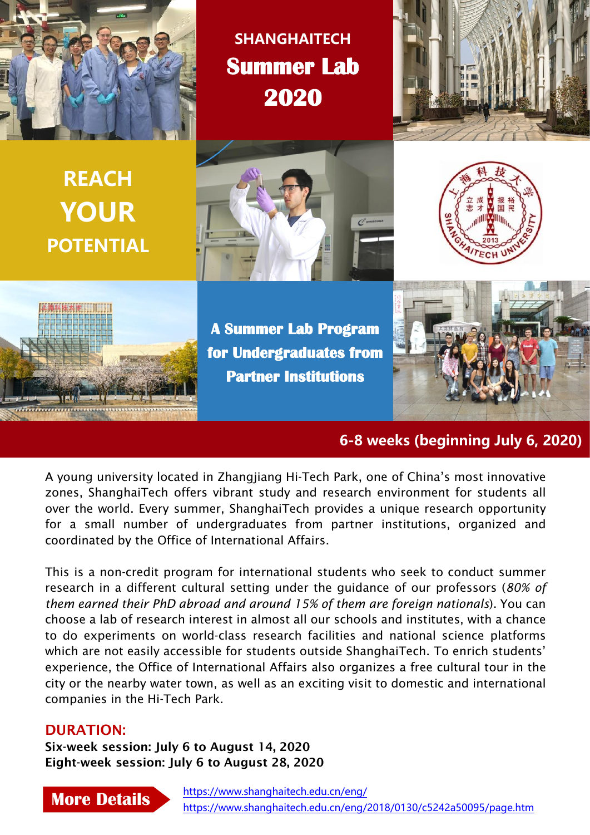

**SHANGHAITECH Summer Lab 2020**



**REACH YOUR POTENTIAL**







**A Summer Lab Program for Undergraduates from Partner Institutions**



**6-8 weeks (beginning July 6, 2020)**

A young university located in Zhangjiang Hi-Tech Park, one of China's most innovative zones, ShanghaiTech offers vibrant study and research environment for students all over the world. Every summer, ShanghaiTech provides a unique research opportunity for a small number of undergraduates from partner institutions, organized and coordinated by the Office of International Affairs.

This is a non-credit program for international students who seek to conduct summer research in a different cultural setting under the guidance of our professors (*80% of them earned their PhD abroad and around 15% of them are foreign nationals*). You can choose a lab of research interest in almost all our schools and institutes, with a chance to do experiments on world-class research facilities and national science platforms which are not easily accessible for students outside ShanghaiTech. To enrich students' experience, the Office of International Affairs also organizes a free cultural tour in the city or the nearby water town, as well as an exciting visit to domestic and international companies in the Hi-Tech Park.

#### DURATION:

Six-week session: July 6 to August 14, 2020 Eight-week session: July 6 to August 28, 2020